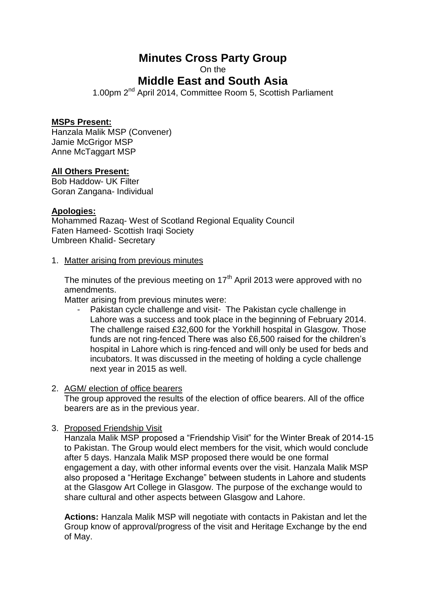# **Minutes Cross Party Group**

On the

## **Middle East and South Asia**

1.00pm 2<sup>nd</sup> April 2014, Committee Room 5, Scottish Parliament

### **MSPs Present:**

Hanzala Malik MSP (Convener) Jamie McGrigor MSP Anne McTaggart MSP

### **All Others Present:**

Bob Haddow- UK Filter Goran Zangana- Individual

#### **Apologies:**

Mohammed Razaq- West of Scotland Regional Equality Council Faten Hameed- Scottish Iraqi Society Umbreen Khalid- Secretary

#### 1. Matter arising from previous minutes

The minutes of the previous meeting on  $17<sup>th</sup>$  April 2013 were approved with no amendments.

Matter arising from previous minutes were:

Pakistan cycle challenge and visit- The Pakistan cycle challenge in Lahore was a success and took place in the beginning of February 2014. The challenge raised £32,600 for the Yorkhill hospital in Glasgow. Those funds are not ring-fenced There was also £6,500 raised for the children's hospital in Lahore which is ring-fenced and will only be used for beds and incubators. It was discussed in the meeting of holding a cycle challenge next year in 2015 as well.

#### 2. AGM/ election of office bearers

The group approved the results of the election of office bearers. All of the office bearers are as in the previous year.

3. Proposed Friendship Visit

Hanzala Malik MSP proposed a "Friendship Visit" for the Winter Break of 2014-15 to Pakistan. The Group would elect members for the visit, which would conclude after 5 days. Hanzala Malik MSP proposed there would be one formal engagement a day, with other informal events over the visit. Hanzala Malik MSP also proposed a "Heritage Exchange" between students in Lahore and students at the Glasgow Art College in Glasgow. The purpose of the exchange would to share cultural and other aspects between Glasgow and Lahore.

**Actions:** Hanzala Malik MSP will negotiate with contacts in Pakistan and let the Group know of approval/progress of the visit and Heritage Exchange by the end of May.